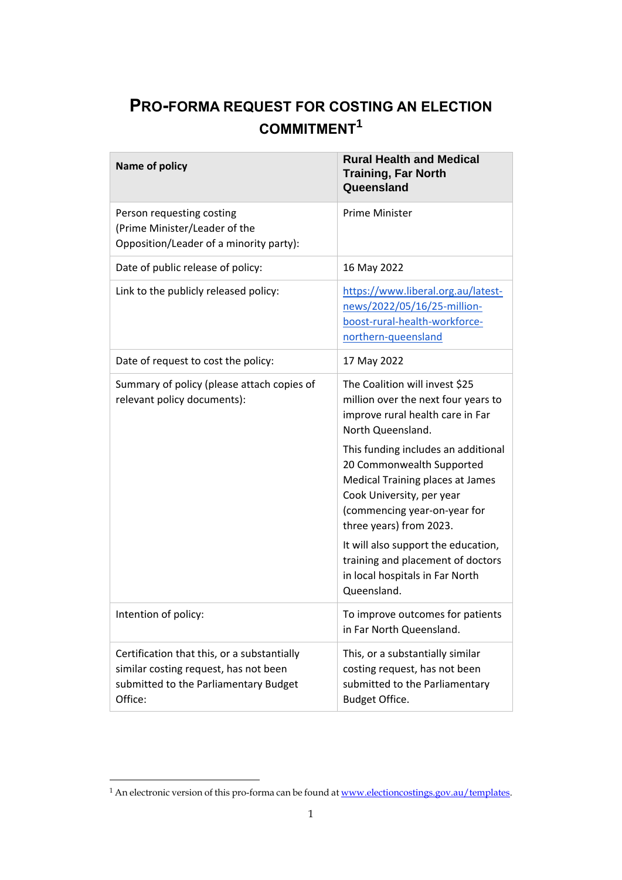## **PRO-FORMA REQUEST FOR COSTING AN ELECTION COMMITMENT<sup>1</sup>**

| Name of policy                                                                                                                           | <b>Rural Health and Medical</b><br><b>Training, Far North</b><br>Queensland                                                                                                                                                                                                                                                                                                                                                                                  |
|------------------------------------------------------------------------------------------------------------------------------------------|--------------------------------------------------------------------------------------------------------------------------------------------------------------------------------------------------------------------------------------------------------------------------------------------------------------------------------------------------------------------------------------------------------------------------------------------------------------|
| Person requesting costing<br>(Prime Minister/Leader of the<br>Opposition/Leader of a minority party):                                    | <b>Prime Minister</b>                                                                                                                                                                                                                                                                                                                                                                                                                                        |
| Date of public release of policy:                                                                                                        | 16 May 2022                                                                                                                                                                                                                                                                                                                                                                                                                                                  |
| Link to the publicly released policy:                                                                                                    | https://www.liberal.org.au/latest-<br>news/2022/05/16/25-million-<br>boost-rural-health-workforce-<br>northern-queensland                                                                                                                                                                                                                                                                                                                                    |
| Date of request to cost the policy:                                                                                                      | 17 May 2022                                                                                                                                                                                                                                                                                                                                                                                                                                                  |
| Summary of policy (please attach copies of<br>relevant policy documents):                                                                | The Coalition will invest \$25<br>million over the next four years to<br>improve rural health care in Far<br>North Queensland.<br>This funding includes an additional<br>20 Commonwealth Supported<br>Medical Training places at James<br>Cook University, per year<br>(commencing year-on-year for<br>three years) from 2023.<br>It will also support the education,<br>training and placement of doctors<br>in local hospitals in Far North<br>Queensland. |
| Intention of policy:                                                                                                                     | To improve outcomes for patients<br>in Far North Queensland.                                                                                                                                                                                                                                                                                                                                                                                                 |
| Certification that this, or a substantially<br>similar costing request, has not been<br>submitted to the Parliamentary Budget<br>Office: | This, or a substantially similar<br>costing request, has not been<br>submitted to the Parliamentary<br>Budget Office.                                                                                                                                                                                                                                                                                                                                        |

<sup>&</sup>lt;sup>1</sup> An electronic version of this pro-forma can be found at <u>www.electioncostings.gov.au/templates</u>.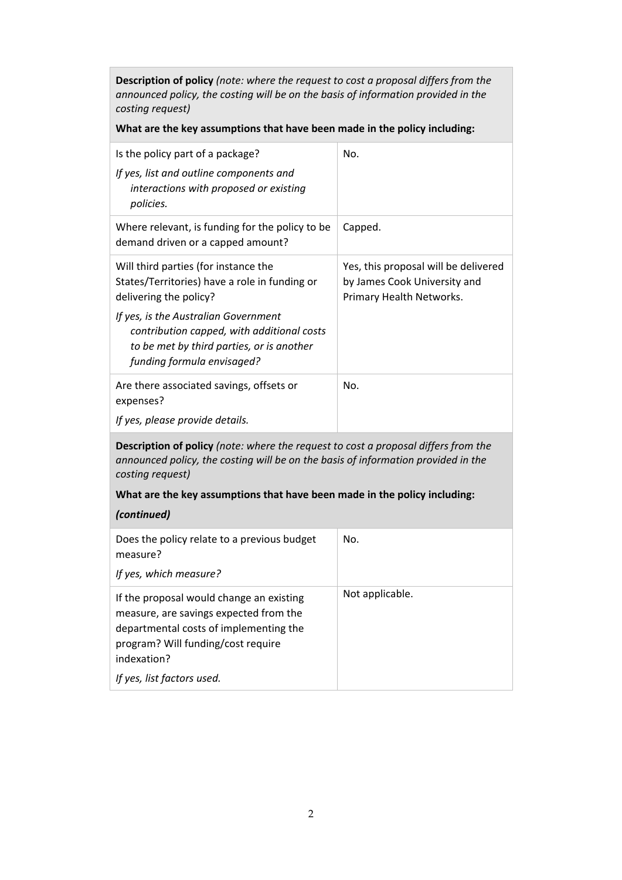**Description of policy** *(note: where the request to cost a proposal differs from the announced policy, the costing will be on the basis of information provided in the costing request)*

## **What are the key assumptions that have been made in the policy including:**

| Is the policy part of a package?<br>If yes, list and outline components and<br>interactions with proposed or existing<br>policies.                            | No.                                                                                              |  |
|---------------------------------------------------------------------------------------------------------------------------------------------------------------|--------------------------------------------------------------------------------------------------|--|
| Where relevant, is funding for the policy to be<br>demand driven or a capped amount?                                                                          | Capped.                                                                                          |  |
| Will third parties (for instance the<br>States/Territories) have a role in funding or<br>delivering the policy?                                               | Yes, this proposal will be delivered<br>by James Cook University and<br>Primary Health Networks. |  |
| If yes, is the Australian Government<br>contribution capped, with additional costs<br>to be met by third parties, or is another<br>funding formula envisaged? |                                                                                                  |  |
| Are there associated savings, offsets or<br>expenses?                                                                                                         | No.                                                                                              |  |
| If yes, please provide details.                                                                                                                               |                                                                                                  |  |
| <b>Description of policy</b> (note: where the request to cost a proposal differs from the                                                                     |                                                                                                  |  |

**Description of policy** *(note: where the request to cost a proposal differs from the announced policy, the costing will be on the basis of information provided in the costing request)* 

## **What are the key assumptions that have been made in the policy including:**

## *(continued)*

| Does the policy relate to a previous budget<br>measure?<br>If yes, which measure?                                                                                                 | No.             |
|-----------------------------------------------------------------------------------------------------------------------------------------------------------------------------------|-----------------|
| If the proposal would change an existing<br>measure, are savings expected from the<br>departmental costs of implementing the<br>program? Will funding/cost require<br>indexation? | Not applicable. |
| If yes, list factors used.                                                                                                                                                        |                 |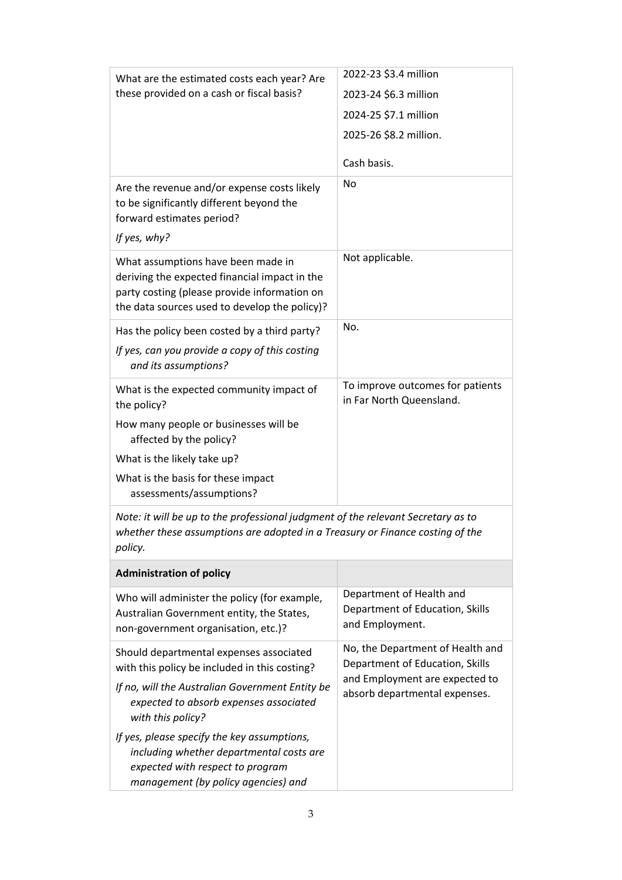| What are the estimated costs each year? Are<br>these provided on a cash or fiscal basis?                                                                                             | 2022-23 \$3.4 million                                                                                                                  |
|--------------------------------------------------------------------------------------------------------------------------------------------------------------------------------------|----------------------------------------------------------------------------------------------------------------------------------------|
|                                                                                                                                                                                      | 2023-24 \$6.3 million                                                                                                                  |
|                                                                                                                                                                                      | 2024-25 \$7.1 million                                                                                                                  |
|                                                                                                                                                                                      | 2025-26 \$8.2 million.                                                                                                                 |
|                                                                                                                                                                                      | Cash basis.                                                                                                                            |
| Are the revenue and/or expense costs likely<br>to be significantly different beyond the<br>forward estimates period?<br>If yes, why?                                                 | No                                                                                                                                     |
| What assumptions have been made in<br>deriving the expected financial impact in the<br>party costing (please provide information on<br>the data sources used to develop the policy)? | Not applicable.                                                                                                                        |
| Has the policy been costed by a third party?                                                                                                                                         | No.                                                                                                                                    |
| If yes, can you provide a copy of this costing<br>and its assumptions?                                                                                                               |                                                                                                                                        |
| What is the expected community impact of<br>the policy?                                                                                                                              | To improve outcomes for patients<br>in Far North Queensland.                                                                           |
| How many people or businesses will be<br>affected by the policy?                                                                                                                     |                                                                                                                                        |
| What is the likely take up?                                                                                                                                                          |                                                                                                                                        |
| What is the basis for these impact<br>assessments/assumptions?                                                                                                                       |                                                                                                                                        |
| Note: it will be up to the professional judgment of the relevant Secretary as to<br>whether these assumptions are adopted in a Treasury or Finance costing of the<br>policy.         |                                                                                                                                        |
| <b>Administration of policy</b>                                                                                                                                                      |                                                                                                                                        |
| Who will administer the policy (for example,<br>Australian Government entity, the States,<br>non-government organisation, etc.)?                                                     | Department of Health and<br>Department of Education, Skills<br>and Employment.                                                         |
| Should departmental expenses associated<br>with this policy be included in this costing?                                                                                             | No, the Department of Health and<br>Department of Education, Skills<br>and Employment are expected to<br>absorb departmental expenses. |
| If no, will the Australian Government Entity be<br>expected to absorb expenses associated<br>with this policy?                                                                       |                                                                                                                                        |
| If yes, please specify the key assumptions,<br>including whether departmental costs are<br>expected with respect to program<br>management (by policy agencies) and                   |                                                                                                                                        |